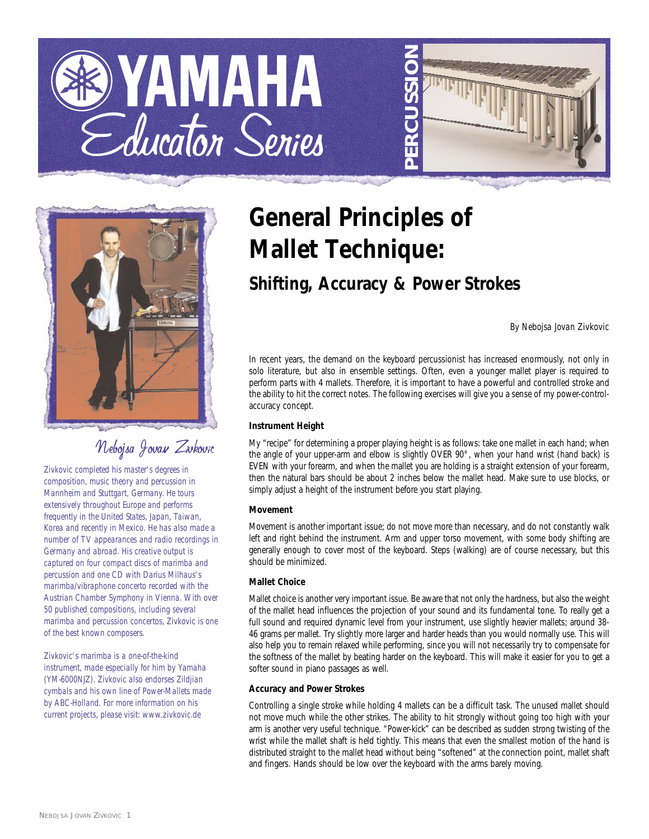





# Nebojsa Jovan Zivkovic

*Zivkovic completed his master's degrees in composition, music theory and percussion in Mannheim and Stuttgart, Germany. He tours extensively throughout Europe and performs frequently in the United States, Japan, Taiwan, Korea and recently in Mexico. He has also made a number of TV appearances and radio recordings in Germany and abroad. His creative output is captured on four compact discs of marimba and percussion and one CD with Darius Milhaus's marimba/vibraphone concerto recorded with the Austrian Chamber Symphony in Vienna. With over 50 published compositions, including several marimba and percussion concertos, Zivkovic is one of the best known composers.*

*Zivkovic's marimba is a one-of-the-kind instrument, made especially for him by Yamaha (YM-6000NJZ). Zivkovic also endorses Zildjian cymbals and his own line of Power-Mallets made by ABC-Holland. For more information on his current projects, please visit: www.zivkovic.de* 

# **General Principles of Mallet Technique:**

# **Shifting, Accuracy & Power Strokes**

*By Nebojsa Jovan Zivkovic*

In recent years, the demand on the keyboard percussionist has increased enormously, not only in solo literature, but also in ensemble settings. Often, even a younger mallet player is required to perform parts with 4 mallets. Therefore, it is important to have a powerful and controlled stroke and the ability to hit the correct notes. The following exercises will give you a sense of my power-controlaccuracy concept.

## **Instrument Height**

My "recipe" for determining a proper playing height is as follows: take one mallet in each hand; when the angle of your upper-arm and elbow is slightly OVER 90°, when your hand wrist (hand back) is EVEN with your forearm, and when the mallet you are holding is a straight extension of your forearm, then the natural bars should be about 2 inches below the mallet head. Make sure to use blocks, or simply adjust a height of the instrument before you start playing.

## **Movement**

Movement is another important issue; do not move more than necessary, and do not constantly walk left and right behind the instrument. Arm and upper torso movement, with some body shifting are generally enough to cover most of the keyboard. Steps (walking) are of course necessary, but this should be minimized.

## **Mallet Choice**

Mallet choice is another very important issue. Be aware that not only the hardness, but also the weight of the mallet head influences the projection of your sound and its fundamental tone. To really get a full sound and required dynamic level from your instrument, use slightly heavier mallets; around 38- 46 grams per mallet. Try slightly more larger and harder heads than you would normally use. This will also help you to remain relaxed while performing, since you will not necessarily try to compensate for the softness of the mallet by beating harder on the keyboard. This will make it easier for you to get a softer sound in piano passages as well.

#### **Accuracy and Power Strokes**

Controlling a single stroke while holding 4 mallets can be a difficult task. The unused mallet should not move much while the other strikes. The ability to hit strongly without going too high with your arm is another very useful technique. "Power-kick" can be described as sudden strong twisting of the wrist while the mallet shaft is held tightly. This means that even the smallest motion of the hand is distributed straight to the mallet head without being "softened" at the connection point, mallet shaft and fingers. Hands should be low over the keyboard with the arms barely moving.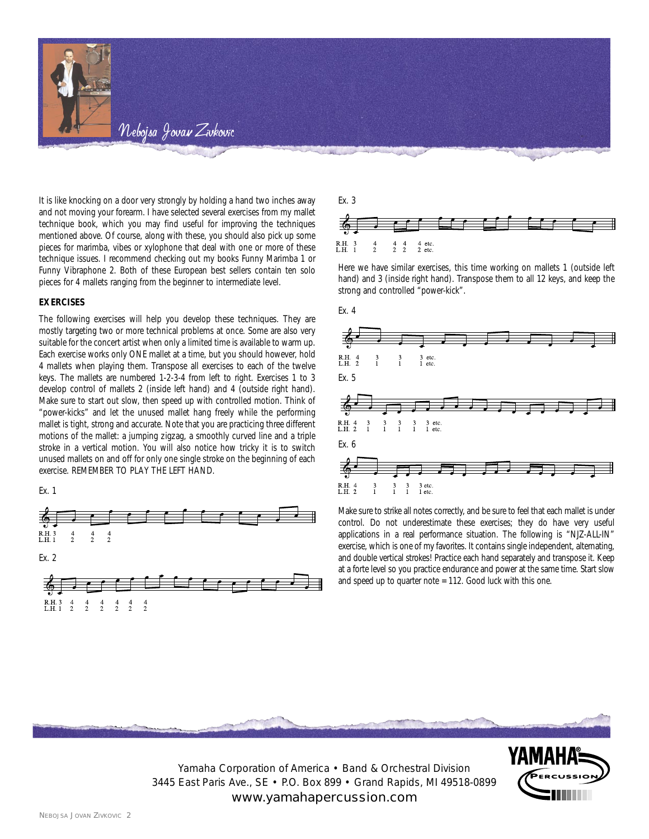

It is like knocking on a door very strongly by holding a hand two inches away and not moving your forearm. I have selected several exercises from my mallet technique book, which you may find useful for improving the techniques mentioned above. Of course, along with these, you should also pick up some pieces for marimba, vibes or xylophone that deal with one or more of these technique issues. I recommend checking out my books Funny Marimba 1 or Funny Vibraphone 2. Both of these European best sellers contain ten solo pieces for 4 mallets ranging from the beginner to intermediate level.

#### **EXERCISES**

The following exercises will help you develop these techniques. They are mostly targeting two or more technical problems at once. Some are also very suitable for the concert artist when only a limited time is available to warm up. Each exercise works only ONE mallet at a time, but you should however, hold 4 mallets when playing them. Transpose all exercises to each of the twelve keys. The mallets are numbered 1-2-3-4 from left to right. Exercises 1 to 3 develop control of mallets 2 (inside left hand) and 4 (outside right hand). Make sure to start out slow, then speed up with controlled motion. Think of "power-kicks" and let the unused mallet hang freely while the performing mallet is tight, strong and accurate. Note that you are practicing three different motions of the mallet: a jumping zigzag, a smoothly curved line and a triple stroke in a vertical motion. You will also notice how tricky it is to switch unused mallets on and off for only one single stroke on the beginning of each exercise. REMEMBER TO PLAY THE LEFT HAND.







Here we have similar exercises, this time working on mallets 1 (outside left hand) and 3 (inside right hand). Transpose them to all 12 keys, and keep the strong and controlled "power-kick".



Make sure to strike all notes correctly, and be sure to feel that each mallet is under control. Do not underestimate these exercises; they do have very useful applications in a real performance situation. The following is "NJZ-ALL-IN" exercise, which is one of my favorites. It contains single independent, alternating, and double vertical strokes! Practice each hand separately and transpose it. Keep at a forte level so you practice endurance and power at the same time. Start slow and speed up to quarter note = 112. Good luck with this one.



Yamaha Corporation of America • Band & Orchestral Division 3445 East Paris Ave., SE • P.O. Box 899 • Grand Rapids, MI 49518-0899 www.yamahapercussion.com